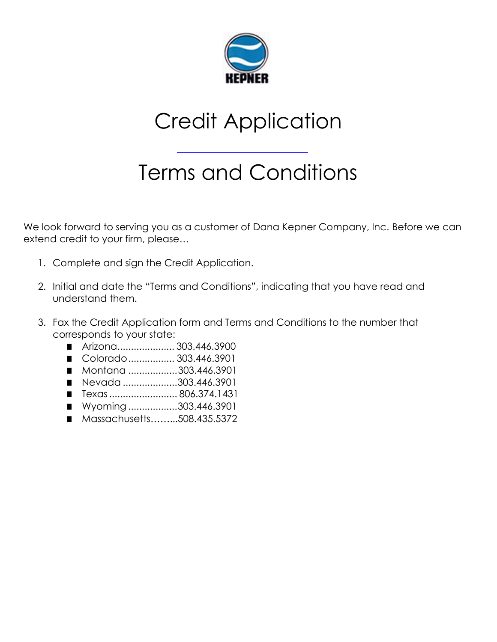

# Credit Application

# Terms and Conditions

We look forward to serving you as a customer of Dana Kepner Company, Inc. Before we can extend credit to your firm, please…

- 1. Complete and sign the Credit Application.
- 2. Initial and date the "Terms and Conditions", indicating that you have read and understand them.
- 3. Fax the Credit Application form and Terms and Conditions to the number that corresponds to your state:
	- Arizona.............................303.446.3900
	- Colorado.................. 303.446.3901
	- Montana .................303.446.3901
	- Nevada ...................303.446.3901
	- Texas......................... 806.374.1431
	- Wyoming ..................303.446.3901
	- Massachusetts.........508.435.5372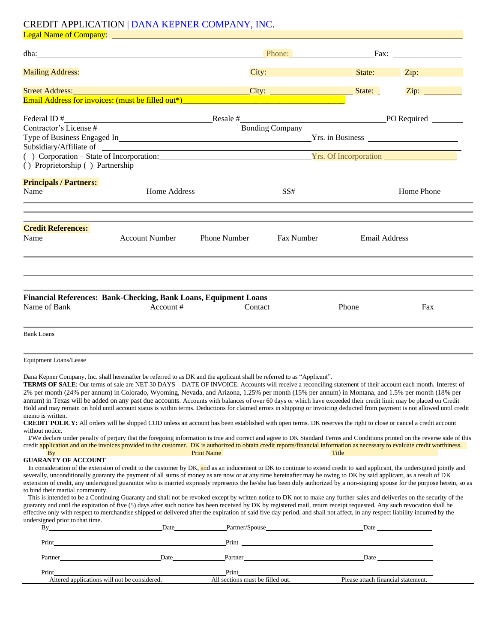### CREDIT APPLICATION | DANA KEPNER COMPANY, INC.

| Zip: $\frac{2}{\sqrt{2}}$<br>Federal ID #<br>Contractor's License #<br>Contractor's License #<br>Bonding Company<br>Bonding Company<br>Type of Business Engaged In <b>Example 2018</b> True Prince 2018 No. 2019 No. 2019 No. 2019 No. 2019 No. 2019 No. 2019 No. 2019 No. 2019 No. 2019 No. 2019 No. 2019 No. 2019 No. 2019 No. 2019 No. 2019 No. 2019 No. 2019 No. 2019<br>() Corporation – State of Incorporation: Vrs. Of Incorporation (2008)<br>() Proprietorship () Partnership<br><b>Principals / Partners:</b><br>Name<br>Home Address<br>Home Phone<br>SS#<br><b>Credit References:</b><br>Name<br>Phone Number<br>Fax Number<br><b>Email Address</b><br><b>Account Number</b><br>Financial References: Bank-Checking, Bank Loans, Equipment Loans<br>Account#<br>Name of Bank<br>Contact<br>Phone<br>Fax<br><b>Bank Loans</b><br>Equipment Loans/Lease<br>Dana Kepner Company, Inc. shall hereinafter be referred to as DK and the applicant shall be referred to as "Applicant".<br>TERMS OF SALE: Our terms of sale are NET 30 DAYS - DATE OF INVOICE. Accounts will receive a reconciling statement of their account each month. Interest of<br>2% per month (24% per annum) in Colorado, Wyoming, Nevada, and Arizona, 1.25% per month (15% per annum) in Montana, and 1.5% per month (18% per<br>annum) in Texas will be added on any past due accounts. Accounts with balances of over 60 days or which have exceeded their credit limit may be placed on Credit<br>Hold and may remain on hold until account status is within terms. Deductions for claimed errors in shipping or invoicing deducted from payment is not allowed until credit<br>memo is written.<br>CREDIT POLICY: All orders will be shipped COD unless an account has been established with open terms. DK reserves the right to close or cancel a credit account<br>without notice.<br>I/We declare under penalty of perjury that the foregoing information is true and correct and agree to DK Standard Terms and Conditions printed on the reverse side of this<br>credit application and on the invoices provided to the customer. DK is authorized to obtain credit reports/financial information as necessary to evaluate credit worthiness.<br><u>Print Name and Contract and Contract and Contract and Contract and Contract and Contract and Contract and Contract and Contract and Contract and Contract and Contract and Contract and Contract and Contract and Contract an</u><br>$\mathbf{B}$ y and $\mathbf{B}$<br><b>GUARANTY OF ACCOUNT</b><br>In consideration of the extension of credit to the customer by DK, and as an inducement to DK to continue to extend credit to said applicant, the undersigned jointly and<br>severally, unconditionally guaranty the payment of all sums of money as are now or at any time hereinafter may be owing to DK by said applicant, as a result of DK<br>extension of credit, any undersigned guarantor who is married expressly represents the he/she has been duly authorized by a non-signing spouse for the purpose herein, so as<br>to bind their martial community.<br>This is intended to be a Continuing Guaranty and shall not be revoked except by written notice to DK not to make any further sales and deliveries on the security of the<br>guaranty and until the expiration of five (5) days after such notice has been received by DK by registered mail, return receipt requested. Any such revocation shall be<br>effective only with respect to merchandise shipped or delivered after the expiration of said five day period, and shall not affect, in any respect liability incurred by the<br>undersigned prior to that time.<br>By Date Date Date Partner/Spouse Date Date Date<br>Partner |  |  |  |
|-----------------------------------------------------------------------------------------------------------------------------------------------------------------------------------------------------------------------------------------------------------------------------------------------------------------------------------------------------------------------------------------------------------------------------------------------------------------------------------------------------------------------------------------------------------------------------------------------------------------------------------------------------------------------------------------------------------------------------------------------------------------------------------------------------------------------------------------------------------------------------------------------------------------------------------------------------------------------------------------------------------------------------------------------------------------------------------------------------------------------------------------------------------------------------------------------------------------------------------------------------------------------------------------------------------------------------------------------------------------------------------------------------------------------------------------------------------------------------------------------------------------------------------------------------------------------------------------------------------------------------------------------------------------------------------------------------------------------------------------------------------------------------------------------------------------------------------------------------------------------------------------------------------------------------------------------------------------------------------------------------------------------------------------------------------------------------------------------------------------------------------------------------------------------------------------------------------------------------------------------------------------------------------------------------------------------------------------------------------------------------------------------------------------------------------------------------------------------------------------------------------------------------------------------------------------------------------------------------------------------------------------------------------------------------------------------------------------------------------------------------------------------------------------------------------------------------------------------------------------------------------------------------------------------------------------------------------------------------------------------------------------------------------------------------------------------------------------------------------------------------------------------------------------------------------------------------------------------------------------------------------------------------------------------------------------------------------------------------------------------------------------------------------------------------------------------------------------------------------------------------------------------------------------------------------------------------------------------------------------------------------------------------------------------------------------------------------------------------------------------------------------|--|--|--|
|                                                                                                                                                                                                                                                                                                                                                                                                                                                                                                                                                                                                                                                                                                                                                                                                                                                                                                                                                                                                                                                                                                                                                                                                                                                                                                                                                                                                                                                                                                                                                                                                                                                                                                                                                                                                                                                                                                                                                                                                                                                                                                                                                                                                                                                                                                                                                                                                                                                                                                                                                                                                                                                                                                                                                                                                                                                                                                                                                                                                                                                                                                                                                                                                                                                                                                                                                                                                                                                                                                                                                                                                                                                                                                                                                                 |  |  |  |
|                                                                                                                                                                                                                                                                                                                                                                                                                                                                                                                                                                                                                                                                                                                                                                                                                                                                                                                                                                                                                                                                                                                                                                                                                                                                                                                                                                                                                                                                                                                                                                                                                                                                                                                                                                                                                                                                                                                                                                                                                                                                                                                                                                                                                                                                                                                                                                                                                                                                                                                                                                                                                                                                                                                                                                                                                                                                                                                                                                                                                                                                                                                                                                                                                                                                                                                                                                                                                                                                                                                                                                                                                                                                                                                                                                 |  |  |  |
|                                                                                                                                                                                                                                                                                                                                                                                                                                                                                                                                                                                                                                                                                                                                                                                                                                                                                                                                                                                                                                                                                                                                                                                                                                                                                                                                                                                                                                                                                                                                                                                                                                                                                                                                                                                                                                                                                                                                                                                                                                                                                                                                                                                                                                                                                                                                                                                                                                                                                                                                                                                                                                                                                                                                                                                                                                                                                                                                                                                                                                                                                                                                                                                                                                                                                                                                                                                                                                                                                                                                                                                                                                                                                                                                                                 |  |  |  |
|                                                                                                                                                                                                                                                                                                                                                                                                                                                                                                                                                                                                                                                                                                                                                                                                                                                                                                                                                                                                                                                                                                                                                                                                                                                                                                                                                                                                                                                                                                                                                                                                                                                                                                                                                                                                                                                                                                                                                                                                                                                                                                                                                                                                                                                                                                                                                                                                                                                                                                                                                                                                                                                                                                                                                                                                                                                                                                                                                                                                                                                                                                                                                                                                                                                                                                                                                                                                                                                                                                                                                                                                                                                                                                                                                                 |  |  |  |
|                                                                                                                                                                                                                                                                                                                                                                                                                                                                                                                                                                                                                                                                                                                                                                                                                                                                                                                                                                                                                                                                                                                                                                                                                                                                                                                                                                                                                                                                                                                                                                                                                                                                                                                                                                                                                                                                                                                                                                                                                                                                                                                                                                                                                                                                                                                                                                                                                                                                                                                                                                                                                                                                                                                                                                                                                                                                                                                                                                                                                                                                                                                                                                                                                                                                                                                                                                                                                                                                                                                                                                                                                                                                                                                                                                 |  |  |  |
|                                                                                                                                                                                                                                                                                                                                                                                                                                                                                                                                                                                                                                                                                                                                                                                                                                                                                                                                                                                                                                                                                                                                                                                                                                                                                                                                                                                                                                                                                                                                                                                                                                                                                                                                                                                                                                                                                                                                                                                                                                                                                                                                                                                                                                                                                                                                                                                                                                                                                                                                                                                                                                                                                                                                                                                                                                                                                                                                                                                                                                                                                                                                                                                                                                                                                                                                                                                                                                                                                                                                                                                                                                                                                                                                                                 |  |  |  |
|                                                                                                                                                                                                                                                                                                                                                                                                                                                                                                                                                                                                                                                                                                                                                                                                                                                                                                                                                                                                                                                                                                                                                                                                                                                                                                                                                                                                                                                                                                                                                                                                                                                                                                                                                                                                                                                                                                                                                                                                                                                                                                                                                                                                                                                                                                                                                                                                                                                                                                                                                                                                                                                                                                                                                                                                                                                                                                                                                                                                                                                                                                                                                                                                                                                                                                                                                                                                                                                                                                                                                                                                                                                                                                                                                                 |  |  |  |
|                                                                                                                                                                                                                                                                                                                                                                                                                                                                                                                                                                                                                                                                                                                                                                                                                                                                                                                                                                                                                                                                                                                                                                                                                                                                                                                                                                                                                                                                                                                                                                                                                                                                                                                                                                                                                                                                                                                                                                                                                                                                                                                                                                                                                                                                                                                                                                                                                                                                                                                                                                                                                                                                                                                                                                                                                                                                                                                                                                                                                                                                                                                                                                                                                                                                                                                                                                                                                                                                                                                                                                                                                                                                                                                                                                 |  |  |  |
|                                                                                                                                                                                                                                                                                                                                                                                                                                                                                                                                                                                                                                                                                                                                                                                                                                                                                                                                                                                                                                                                                                                                                                                                                                                                                                                                                                                                                                                                                                                                                                                                                                                                                                                                                                                                                                                                                                                                                                                                                                                                                                                                                                                                                                                                                                                                                                                                                                                                                                                                                                                                                                                                                                                                                                                                                                                                                                                                                                                                                                                                                                                                                                                                                                                                                                                                                                                                                                                                                                                                                                                                                                                                                                                                                                 |  |  |  |
|                                                                                                                                                                                                                                                                                                                                                                                                                                                                                                                                                                                                                                                                                                                                                                                                                                                                                                                                                                                                                                                                                                                                                                                                                                                                                                                                                                                                                                                                                                                                                                                                                                                                                                                                                                                                                                                                                                                                                                                                                                                                                                                                                                                                                                                                                                                                                                                                                                                                                                                                                                                                                                                                                                                                                                                                                                                                                                                                                                                                                                                                                                                                                                                                                                                                                                                                                                                                                                                                                                                                                                                                                                                                                                                                                                 |  |  |  |
|                                                                                                                                                                                                                                                                                                                                                                                                                                                                                                                                                                                                                                                                                                                                                                                                                                                                                                                                                                                                                                                                                                                                                                                                                                                                                                                                                                                                                                                                                                                                                                                                                                                                                                                                                                                                                                                                                                                                                                                                                                                                                                                                                                                                                                                                                                                                                                                                                                                                                                                                                                                                                                                                                                                                                                                                                                                                                                                                                                                                                                                                                                                                                                                                                                                                                                                                                                                                                                                                                                                                                                                                                                                                                                                                                                 |  |  |  |
|                                                                                                                                                                                                                                                                                                                                                                                                                                                                                                                                                                                                                                                                                                                                                                                                                                                                                                                                                                                                                                                                                                                                                                                                                                                                                                                                                                                                                                                                                                                                                                                                                                                                                                                                                                                                                                                                                                                                                                                                                                                                                                                                                                                                                                                                                                                                                                                                                                                                                                                                                                                                                                                                                                                                                                                                                                                                                                                                                                                                                                                                                                                                                                                                                                                                                                                                                                                                                                                                                                                                                                                                                                                                                                                                                                 |  |  |  |
|                                                                                                                                                                                                                                                                                                                                                                                                                                                                                                                                                                                                                                                                                                                                                                                                                                                                                                                                                                                                                                                                                                                                                                                                                                                                                                                                                                                                                                                                                                                                                                                                                                                                                                                                                                                                                                                                                                                                                                                                                                                                                                                                                                                                                                                                                                                                                                                                                                                                                                                                                                                                                                                                                                                                                                                                                                                                                                                                                                                                                                                                                                                                                                                                                                                                                                                                                                                                                                                                                                                                                                                                                                                                                                                                                                 |  |  |  |
|                                                                                                                                                                                                                                                                                                                                                                                                                                                                                                                                                                                                                                                                                                                                                                                                                                                                                                                                                                                                                                                                                                                                                                                                                                                                                                                                                                                                                                                                                                                                                                                                                                                                                                                                                                                                                                                                                                                                                                                                                                                                                                                                                                                                                                                                                                                                                                                                                                                                                                                                                                                                                                                                                                                                                                                                                                                                                                                                                                                                                                                                                                                                                                                                                                                                                                                                                                                                                                                                                                                                                                                                                                                                                                                                                                 |  |  |  |
|                                                                                                                                                                                                                                                                                                                                                                                                                                                                                                                                                                                                                                                                                                                                                                                                                                                                                                                                                                                                                                                                                                                                                                                                                                                                                                                                                                                                                                                                                                                                                                                                                                                                                                                                                                                                                                                                                                                                                                                                                                                                                                                                                                                                                                                                                                                                                                                                                                                                                                                                                                                                                                                                                                                                                                                                                                                                                                                                                                                                                                                                                                                                                                                                                                                                                                                                                                                                                                                                                                                                                                                                                                                                                                                                                                 |  |  |  |
|                                                                                                                                                                                                                                                                                                                                                                                                                                                                                                                                                                                                                                                                                                                                                                                                                                                                                                                                                                                                                                                                                                                                                                                                                                                                                                                                                                                                                                                                                                                                                                                                                                                                                                                                                                                                                                                                                                                                                                                                                                                                                                                                                                                                                                                                                                                                                                                                                                                                                                                                                                                                                                                                                                                                                                                                                                                                                                                                                                                                                                                                                                                                                                                                                                                                                                                                                                                                                                                                                                                                                                                                                                                                                                                                                                 |  |  |  |
|                                                                                                                                                                                                                                                                                                                                                                                                                                                                                                                                                                                                                                                                                                                                                                                                                                                                                                                                                                                                                                                                                                                                                                                                                                                                                                                                                                                                                                                                                                                                                                                                                                                                                                                                                                                                                                                                                                                                                                                                                                                                                                                                                                                                                                                                                                                                                                                                                                                                                                                                                                                                                                                                                                                                                                                                                                                                                                                                                                                                                                                                                                                                                                                                                                                                                                                                                                                                                                                                                                                                                                                                                                                                                                                                                                 |  |  |  |
|                                                                                                                                                                                                                                                                                                                                                                                                                                                                                                                                                                                                                                                                                                                                                                                                                                                                                                                                                                                                                                                                                                                                                                                                                                                                                                                                                                                                                                                                                                                                                                                                                                                                                                                                                                                                                                                                                                                                                                                                                                                                                                                                                                                                                                                                                                                                                                                                                                                                                                                                                                                                                                                                                                                                                                                                                                                                                                                                                                                                                                                                                                                                                                                                                                                                                                                                                                                                                                                                                                                                                                                                                                                                                                                                                                 |  |  |  |
|                                                                                                                                                                                                                                                                                                                                                                                                                                                                                                                                                                                                                                                                                                                                                                                                                                                                                                                                                                                                                                                                                                                                                                                                                                                                                                                                                                                                                                                                                                                                                                                                                                                                                                                                                                                                                                                                                                                                                                                                                                                                                                                                                                                                                                                                                                                                                                                                                                                                                                                                                                                                                                                                                                                                                                                                                                                                                                                                                                                                                                                                                                                                                                                                                                                                                                                                                                                                                                                                                                                                                                                                                                                                                                                                                                 |  |  |  |
|                                                                                                                                                                                                                                                                                                                                                                                                                                                                                                                                                                                                                                                                                                                                                                                                                                                                                                                                                                                                                                                                                                                                                                                                                                                                                                                                                                                                                                                                                                                                                                                                                                                                                                                                                                                                                                                                                                                                                                                                                                                                                                                                                                                                                                                                                                                                                                                                                                                                                                                                                                                                                                                                                                                                                                                                                                                                                                                                                                                                                                                                                                                                                                                                                                                                                                                                                                                                                                                                                                                                                                                                                                                                                                                                                                 |  |  |  |